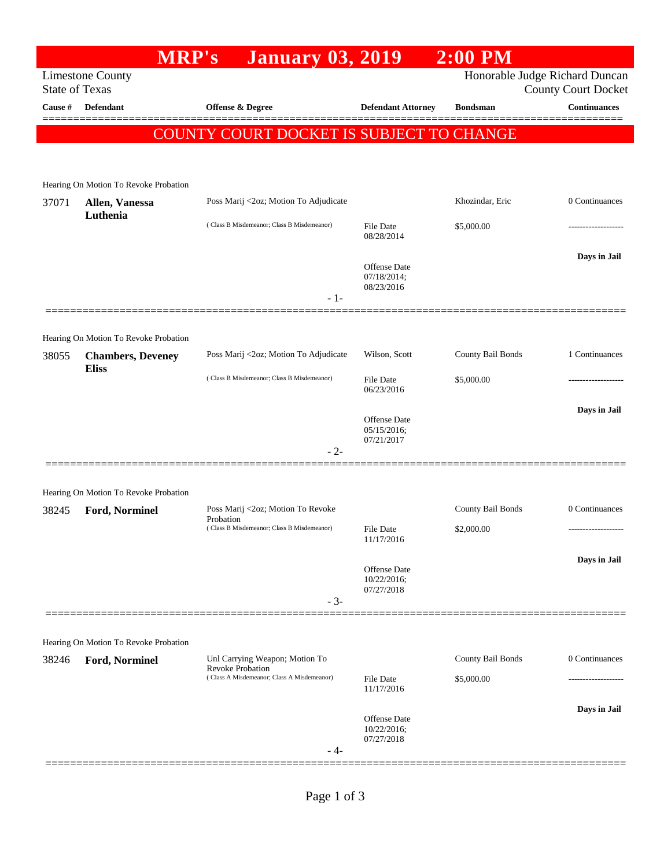|                       | <b>MRP's</b>                                            | <b>January 03, 2019</b>                                   |                                    | $2:00$ PM         |                                                              |
|-----------------------|---------------------------------------------------------|-----------------------------------------------------------|------------------------------------|-------------------|--------------------------------------------------------------|
| <b>State of Texas</b> | <b>Limestone County</b>                                 |                                                           |                                    |                   | Honorable Judge Richard Duncan<br><b>County Court Docket</b> |
| Cause #               | Defendant                                               | Offense & Degree                                          | <b>Defendant Attorney</b>          | <b>Bondsman</b>   | <b>Continuances</b>                                          |
|                       |                                                         | COUNTY COURT DOCKET IS SUBJECT TO CHANGE                  |                                    |                   |                                                              |
|                       |                                                         |                                                           |                                    |                   |                                                              |
|                       | Hearing On Motion To Revoke Probation                   |                                                           |                                    |                   |                                                              |
| 37071                 | Allen, Vanessa                                          | Poss Marij <2oz; Motion To Adjudicate                     |                                    | Khozindar, Eric   | 0 Continuances                                               |
|                       | Luthenia                                                | (Class B Misdemeanor; Class B Misdemeanor)                | File Date<br>08/28/2014            | \$5,000.00        |                                                              |
|                       |                                                         |                                                           | <b>Offense Date</b><br>07/18/2014; |                   | Days in Jail                                                 |
|                       |                                                         | - 1-                                                      | 08/23/2016                         |                   |                                                              |
|                       |                                                         |                                                           |                                    |                   |                                                              |
|                       | Hearing On Motion To Revoke Probation                   |                                                           |                                    |                   |                                                              |
| 38055                 | <b>Chambers, Deveney</b><br><b>Eliss</b>                | Poss Marij <2oz; Motion To Adjudicate                     | Wilson, Scott                      | County Bail Bonds | 1 Continuances                                               |
|                       |                                                         | (Class B Misdemeanor; Class B Misdemeanor)                | <b>File Date</b><br>06/23/2016     | \$5,000.00        |                                                              |
|                       |                                                         |                                                           | Offense Date                       |                   | Days in Jail                                                 |
|                       |                                                         |                                                           | 05/15/2016;<br>07/21/2017          |                   |                                                              |
|                       |                                                         | $-2-$                                                     |                                    |                   |                                                              |
|                       |                                                         |                                                           |                                    |                   |                                                              |
| 38245                 | Hearing On Motion To Revoke Probation<br>Ford, Norminel | Poss Marij <2oz; Motion To Revoke                         |                                    | County Bail Bonds | 0 Continuances                                               |
|                       |                                                         | Probation<br>(Class B Misdemeanor; Class B Misdemeanor)   | File Date                          | \$2,000.00        |                                                              |
|                       |                                                         |                                                           | 11/17/2016                         |                   |                                                              |
|                       |                                                         |                                                           | Offense Date<br>10/22/2016;        |                   | Days in Jail                                                 |
|                       |                                                         | $-3-$                                                     | 07/27/2018                         |                   |                                                              |
|                       |                                                         |                                                           |                                    |                   |                                                              |
|                       | Hearing On Motion To Revoke Probation                   |                                                           |                                    |                   |                                                              |
| 38246                 | <b>Ford, Norminel</b>                                   | Unl Carrying Weapon; Motion To<br><b>Revoke Probation</b> |                                    | County Bail Bonds | 0 Continuances                                               |
|                       |                                                         | (Class A Misdemeanor; Class A Misdemeanor)                | <b>File Date</b><br>11/17/2016     | \$5,000.00        |                                                              |
|                       |                                                         |                                                           |                                    |                   | Days in Jail                                                 |
|                       |                                                         |                                                           | Offense Date<br>10/22/2016;        |                   |                                                              |
|                       |                                                         | - 4-                                                      | 07/27/2018                         |                   |                                                              |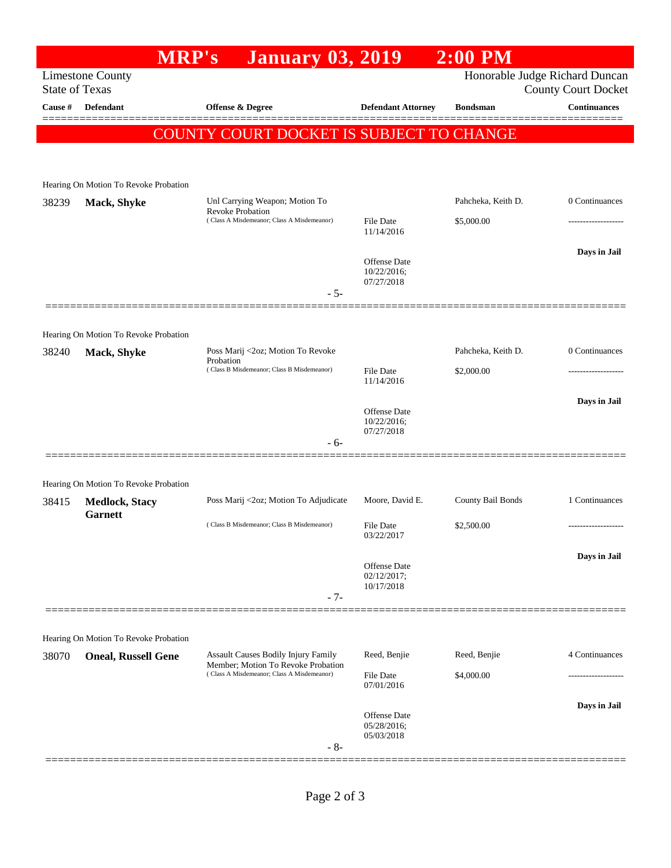|                       |                                                                | <b>MRP's</b><br><b>January 03, 2019</b>                                          |                             | $2:00$ PM          |                                                              |
|-----------------------|----------------------------------------------------------------|----------------------------------------------------------------------------------|-----------------------------|--------------------|--------------------------------------------------------------|
| <b>State of Texas</b> | <b>Limestone County</b>                                        |                                                                                  |                             |                    | Honorable Judge Richard Duncan<br><b>County Court Docket</b> |
| Cause #               | <b>Defendant</b>                                               | Offense & Degree                                                                 | <b>Defendant Attorney</b>   | <b>Bondsman</b>    | <b>Continuances</b>                                          |
|                       |                                                                | COUNTY COURT DOCKET IS SUBJECT TO CHANGE                                         |                             |                    | ======                                                       |
|                       |                                                                |                                                                                  |                             |                    |                                                              |
|                       |                                                                |                                                                                  |                             |                    |                                                              |
|                       | Hearing On Motion To Revoke Probation                          |                                                                                  |                             |                    |                                                              |
| 38239                 | Mack, Shyke                                                    | Unl Carrying Weapon; Motion To<br><b>Revoke Probation</b>                        |                             | Pahcheka, Keith D. | 0 Continuances                                               |
|                       |                                                                | (Class A Misdemeanor; Class A Misdemeanor)                                       | File Date<br>11/14/2016     | \$5,000.00         |                                                              |
|                       |                                                                |                                                                                  |                             |                    | Days in Jail                                                 |
|                       |                                                                |                                                                                  | Offense Date<br>10/22/2016; |                    |                                                              |
|                       |                                                                | $-5-$                                                                            | 07/27/2018                  |                    |                                                              |
|                       |                                                                |                                                                                  |                             |                    |                                                              |
|                       | Hearing On Motion To Revoke Probation                          |                                                                                  |                             |                    |                                                              |
| 38240                 | Mack, Shyke                                                    | Poss Marij <2oz; Motion To Revoke                                                |                             | Pahcheka, Keith D. | 0 Continuances                                               |
|                       |                                                                | Probation<br>(Class B Misdemeanor; Class B Misdemeanor)                          | File Date                   | \$2,000.00         |                                                              |
|                       |                                                                |                                                                                  | 11/14/2016                  |                    |                                                              |
|                       |                                                                |                                                                                  | Offense Date                |                    | Days in Jail                                                 |
|                       |                                                                |                                                                                  | 10/22/2016;<br>07/27/2018   |                    |                                                              |
|                       |                                                                | $-6-$                                                                            |                             |                    |                                                              |
|                       |                                                                |                                                                                  |                             |                    |                                                              |
| 38415                 | Hearing On Motion To Revoke Probation<br><b>Medlock, Stacy</b> | Poss Marij <2oz; Motion To Adjudicate                                            | Moore, David E.             | County Bail Bonds  | 1 Continuances                                               |
|                       | <b>Garnett</b>                                                 |                                                                                  | File Date<br>03/22/2017     |                    |                                                              |
|                       |                                                                | (Class B Misdemeanor; Class B Misdemeanor)                                       |                             | \$2,500.00         | .                                                            |
|                       |                                                                |                                                                                  |                             |                    | Days in Jail                                                 |
|                       |                                                                |                                                                                  | Offense Date<br>02/12/2017; |                    |                                                              |
|                       |                                                                | $-7-$                                                                            | 10/17/2018                  |                    |                                                              |
|                       |                                                                |                                                                                  |                             |                    |                                                              |
|                       | Hearing On Motion To Revoke Probation                          |                                                                                  |                             |                    |                                                              |
| 38070                 | <b>Oneal, Russell Gene</b>                                     | Assault Causes Bodily Injury Family                                              | Reed, Benjie                | Reed, Benjie       | 4 Continuances                                               |
|                       |                                                                | Member; Motion To Revoke Probation<br>(Class A Misdemeanor; Class A Misdemeanor) | File Date                   | \$4,000.00         |                                                              |
|                       |                                                                |                                                                                  | 07/01/2016                  |                    |                                                              |
|                       |                                                                |                                                                                  | Offense Date                |                    | Days in Jail                                                 |
|                       |                                                                |                                                                                  | 05/28/2016;<br>05/03/2018   |                    |                                                              |
|                       |                                                                | $-8-$                                                                            |                             |                    |                                                              |